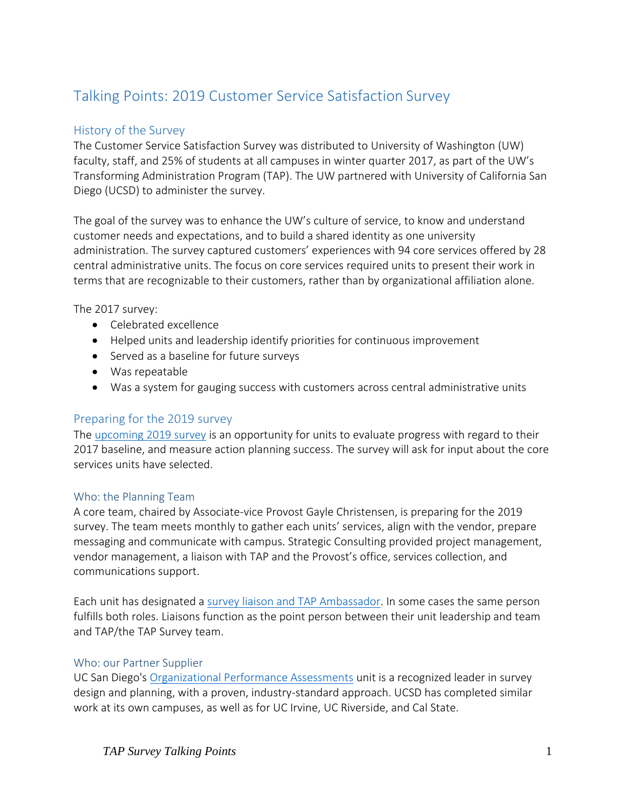# Talking Points: 2019 Customer Service Satisfaction Survey

## History of the Survey

The Customer Service Satisfaction Survey was distributed to University of Washington (UW) faculty, staff, and 25% of students at all campuses in winter quarter 2017, as part of the UW's Transforming Administration Program (TAP). The UW partnered with University of California San Diego (UCSD) to administer the survey.

The goal of the survey was to enhance the UW's culture of service, to know and understand customer needs and expectations, and to build a shared identity as one university administration. The survey captured customers' experiences with 94 core services offered by 28 central administrative units. The focus on core services required units to present their work in terms that are recognizable to their customers, rather than by organizational affiliation alone.

The 2017 survey:

- Celebrated excellence
- Helped units and leadership identify priorities for continuous improvement
- Served as a baseline for future surveys
- Was repeatable
- Was a system for gauging success with customers across central administrative units

### Preparing for the 2019 survey

The [upcoming 2019 survey](https://tap.uw.edu/sites/default/files/2018%2019%20survey%20timeline.JPG) is an opportunity for units to evaluate progress with regard to their 2017 baseline, and measure action planning success. The survey will ask for input about the core services units have selected.

### Who: the Planning Team

A core team, chaired by Associate-vice Provost Gayle Christensen, is preparing for the 2019 survey. The team meets monthly to gather each units' services, align with the vendor, prepare messaging and communicate with campus. Strategic Consulting provided project management, vendor management, a liaison with TAP and the Provost's office, services collection, and communications support.

Each unit has designated [a survey liaison and TAP Ambassador.](https://tap.uw.edu/tap-ambassadors-and-liaisons) In some cases the same person fulfills both roles. Liaisons function as the point person between their unit leadership and team and TAP/the TAP Survey team.

### Who: our Partner Supplier

UC San Diego's [Organizational Performance Assessments](https://blink.ucsd.edu/sponsor/OSI/opa/index.html) unit is a recognized leader in survey design and planning, with a proven, industry-standard approach. UCSD has completed similar work at its own campuses, as well as for UC Irvine, UC Riverside, and Cal State.